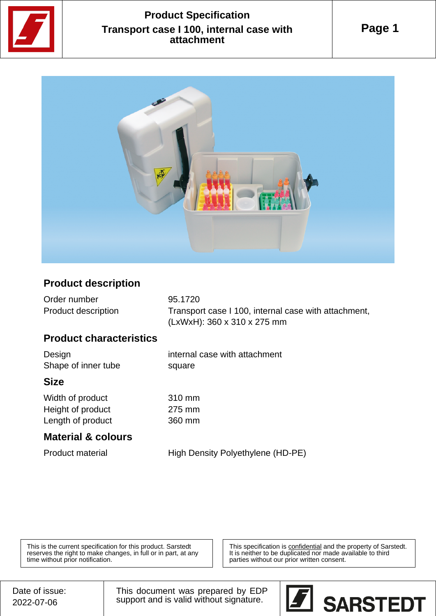

# **Product Specification Transport case I 100, internal case with attachment**



### **Product description**

| Order number        | 95.1720                                              |
|---------------------|------------------------------------------------------|
| Product description | Transport case I 100, internal case with attachment, |
|                     | (LxWxH): 360 x 310 x 275 mm                          |

### **Product characteristics**

| Design<br>Shape of inner tube | internal case with attachment<br>square |
|-------------------------------|-----------------------------------------|
| <b>Size</b>                   |                                         |
| Width of product              | 310 mm                                  |
| Height of product             | 275 mm                                  |
| Length of product             | 360 mm                                  |
| <b>Material &amp; colours</b> |                                         |
| <b>Product material</b>       | High Density Polyethylene (HD-PE)       |

This is the current specification for this product. Sarstedt reserves the right to make changes, in full or in part, at any time without prior notification.

This specification is **confidential** and the property of Sarstedt. It is neither to be duplicated nor made available to third parties without our prior written consent.

This document was prepared by EDP support and is valid without signature.